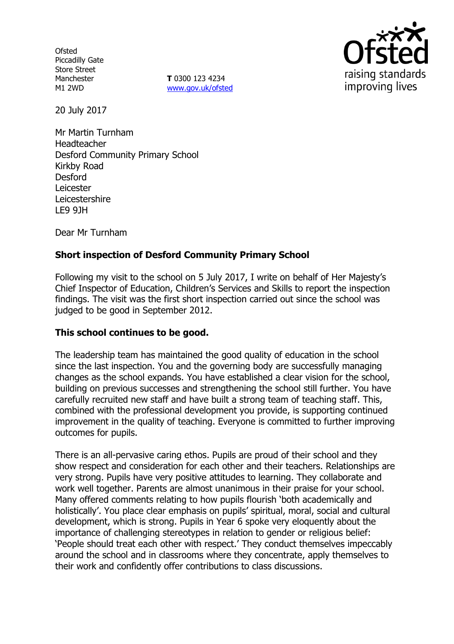**Ofsted** Piccadilly Gate Store Street Manchester M1 2WD

**T** 0300 123 4234 www.gov.uk/ofsted



20 July 2017

Mr Martin Turnham Headteacher Desford Community Primary School Kirkby Road Desford Leicester Leicestershire LE9 9JH

Dear Mr Turnham

# **Short inspection of Desford Community Primary School**

Following my visit to the school on 5 July 2017, I write on behalf of Her Majesty's Chief Inspector of Education, Children's Services and Skills to report the inspection findings. The visit was the first short inspection carried out since the school was judged to be good in September 2012.

### **This school continues to be good.**

The leadership team has maintained the good quality of education in the school since the last inspection. You and the governing body are successfully managing changes as the school expands. You have established a clear vision for the school, building on previous successes and strengthening the school still further. You have carefully recruited new staff and have built a strong team of teaching staff. This, combined with the professional development you provide, is supporting continued improvement in the quality of teaching. Everyone is committed to further improving outcomes for pupils.

There is an all-pervasive caring ethos. Pupils are proud of their school and they show respect and consideration for each other and their teachers. Relationships are very strong. Pupils have very positive attitudes to learning. They collaborate and work well together. Parents are almost unanimous in their praise for your school. Many offered comments relating to how pupils flourish 'both academically and holistically'. You place clear emphasis on pupils' spiritual, moral, social and cultural development, which is strong. Pupils in Year 6 spoke very eloquently about the importance of challenging stereotypes in relation to gender or religious belief: 'People should treat each other with respect.' They conduct themselves impeccably around the school and in classrooms where they concentrate, apply themselves to their work and confidently offer contributions to class discussions.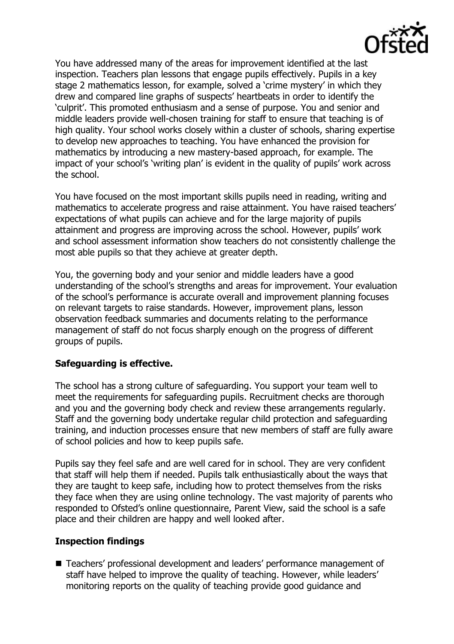

You have addressed many of the areas for improvement identified at the last inspection. Teachers plan lessons that engage pupils effectively. Pupils in a key stage 2 mathematics lesson, for example, solved a 'crime mystery' in which they drew and compared line graphs of suspects' heartbeats in order to identify the 'culprit'. This promoted enthusiasm and a sense of purpose. You and senior and middle leaders provide well-chosen training for staff to ensure that teaching is of high quality. Your school works closely within a cluster of schools, sharing expertise to develop new approaches to teaching. You have enhanced the provision for mathematics by introducing a new mastery-based approach, for example. The impact of your school's 'writing plan' is evident in the quality of pupils' work across the school.

You have focused on the most important skills pupils need in reading, writing and mathematics to accelerate progress and raise attainment. You have raised teachers' expectations of what pupils can achieve and for the large majority of pupils attainment and progress are improving across the school. However, pupils' work and school assessment information show teachers do not consistently challenge the most able pupils so that they achieve at greater depth.

You, the governing body and your senior and middle leaders have a good understanding of the school's strengths and areas for improvement. Your evaluation of the school's performance is accurate overall and improvement planning focuses on relevant targets to raise standards. However, improvement plans, lesson observation feedback summaries and documents relating to the performance management of staff do not focus sharply enough on the progress of different groups of pupils.

### **Safeguarding is effective.**

The school has a strong culture of safeguarding. You support your team well to meet the requirements for safeguarding pupils. Recruitment checks are thorough and you and the governing body check and review these arrangements regularly. Staff and the governing body undertake regular child protection and safeguarding training, and induction processes ensure that new members of staff are fully aware of school policies and how to keep pupils safe.

Pupils say they feel safe and are well cared for in school. They are very confident that staff will help them if needed. Pupils talk enthusiastically about the ways that they are taught to keep safe, including how to protect themselves from the risks they face when they are using online technology. The vast majority of parents who responded to Ofsted's online questionnaire, Parent View, said the school is a safe place and their children are happy and well looked after.

### **Inspection findings**

■ Teachers' professional development and leaders' performance management of staff have helped to improve the quality of teaching. However, while leaders' monitoring reports on the quality of teaching provide good guidance and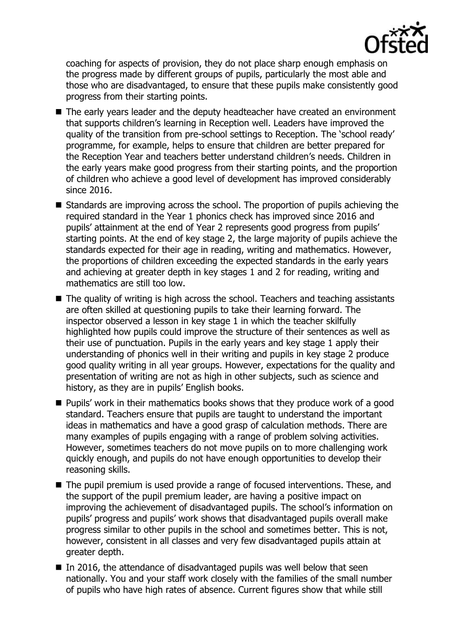

coaching for aspects of provision, they do not place sharp enough emphasis on the progress made by different groups of pupils, particularly the most able and those who are disadvantaged, to ensure that these pupils make consistently good progress from their starting points.

- The early years leader and the deputy headteacher have created an environment that supports children's learning in Reception well. Leaders have improved the quality of the transition from pre-school settings to Reception. The 'school ready' programme, for example, helps to ensure that children are better prepared for the Reception Year and teachers better understand children's needs. Children in the early years make good progress from their starting points, and the proportion of children who achieve a good level of development has improved considerably since 2016.
- Standards are improving across the school. The proportion of pupils achieving the required standard in the Year 1 phonics check has improved since 2016 and pupils' attainment at the end of Year 2 represents good progress from pupils' starting points. At the end of key stage 2, the large majority of pupils achieve the standards expected for their age in reading, writing and mathematics. However, the proportions of children exceeding the expected standards in the early years and achieving at greater depth in key stages 1 and 2 for reading, writing and mathematics are still too low.
- The quality of writing is high across the school. Teachers and teaching assistants are often skilled at questioning pupils to take their learning forward. The inspector observed a lesson in key stage 1 in which the teacher skilfully highlighted how pupils could improve the structure of their sentences as well as their use of punctuation. Pupils in the early years and key stage 1 apply their understanding of phonics well in their writing and pupils in key stage 2 produce good quality writing in all year groups. However, expectations for the quality and presentation of writing are not as high in other subjects, such as science and history, as they are in pupils' English books.
- **Pupils'** work in their mathematics books shows that they produce work of a good standard. Teachers ensure that pupils are taught to understand the important ideas in mathematics and have a good grasp of calculation methods. There are many examples of pupils engaging with a range of problem solving activities. However, sometimes teachers do not move pupils on to more challenging work quickly enough, and pupils do not have enough opportunities to develop their reasoning skills.
- The pupil premium is used provide a range of focused interventions. These, and the support of the pupil premium leader, are having a positive impact on improving the achievement of disadvantaged pupils. The school's information on pupils' progress and pupils' work shows that disadvantaged pupils overall make progress similar to other pupils in the school and sometimes better. This is not, however, consistent in all classes and very few disadvantaged pupils attain at greater depth.
- $\blacksquare$  In 2016, the attendance of disadvantaged pupils was well below that seen nationally. You and your staff work closely with the families of the small number of pupils who have high rates of absence. Current figures show that while still